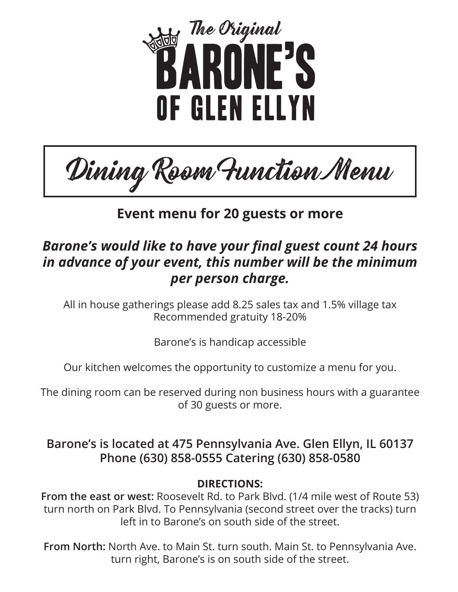

Dining Room Function Menu

# **Event menu for 20 guests or more**

# *Barone's would like to have your final guest count 24 hours in advance of your event, this number will be the minimum per person charge.*

All in house gatherings please add 8.25 sales tax and 1.5% village tax Recommended gratuity 18-20%

Barone's is handicap accessible

Our kitchen welcomes the opportunity to customize a menu for you.

The dining room can be reserved during non business hours with a guarantee of 30 guests or more.

**Barone's is located at 475 Pennsylvania Ave. Glen Ellyn, IL 60137 Phone (630) 858-0555 Catering (630) 858-0580**

**DIRECTIONS:**

**From the east or west:** Roosevelt Rd. to Park Blvd. (1/4 mile west of Route 53) turn north on Park Blvd. To Pennsylvania (second street over the tracks) turn left in to Barone's on south side of the street.

**From North:** North Ave. to Main St. turn south. Main St. to Pennsylvania Ave. turn right, Barone's is on south side of the street.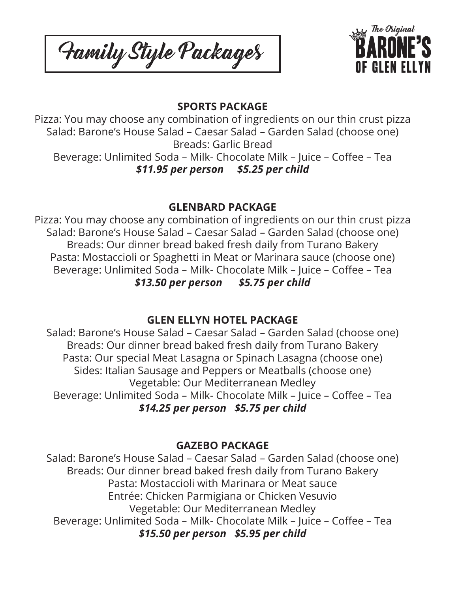Family Style Packages



### **SPORTS PACKAGE**

Pizza: You may choose any combination of ingredients on our thin crust pizza Salad: Barone's House Salad – Caesar Salad – Garden Salad (choose one) Breads: Garlic Bread

Beverage: Unlimited Soda – Milk- Chocolate Milk – Juice – Coffee – Tea *\$11.95 per person \$5.25 per child*

#### **GLENBARD PACKAGE**

Pizza: You may choose any combination of ingredients on our thin crust pizza Salad: Barone's House Salad – Caesar Salad – Garden Salad (choose one) Breads: Our dinner bread baked fresh daily from Turano Bakery Pasta: Mostaccioli or Spaghetti in Meat or Marinara sauce (choose one) Beverage: Unlimited Soda – Milk- Chocolate Milk – Juice – Coffee – Tea *\$13.50 per person \$5.75 per child*

# **GLEN ELLYN HOTEL PACKAGE**

Salad: Barone's House Salad – Caesar Salad – Garden Salad (choose one) Breads: Our dinner bread baked fresh daily from Turano Bakery Pasta: Our special Meat Lasagna or Spinach Lasagna (choose one) Sides: Italian Sausage and Peppers or Meatballs (choose one) Vegetable: Our Mediterranean Medley Beverage: Unlimited Soda – Milk- Chocolate Milk – Juice – Coffee – Tea *\$14.25 per person \$5.75 per child*

# **GAZEBO PACKAGE**

Salad: Barone's House Salad – Caesar Salad – Garden Salad (choose one) Breads: Our dinner bread baked fresh daily from Turano Bakery Pasta: Mostaccioli with Marinara or Meat sauce Entrée: Chicken Parmigiana or Chicken Vesuvio Vegetable: Our Mediterranean Medley Beverage: Unlimited Soda – Milk- Chocolate Milk – Juice – Coffee – Tea *\$15.50 per person \$5.95 per child*